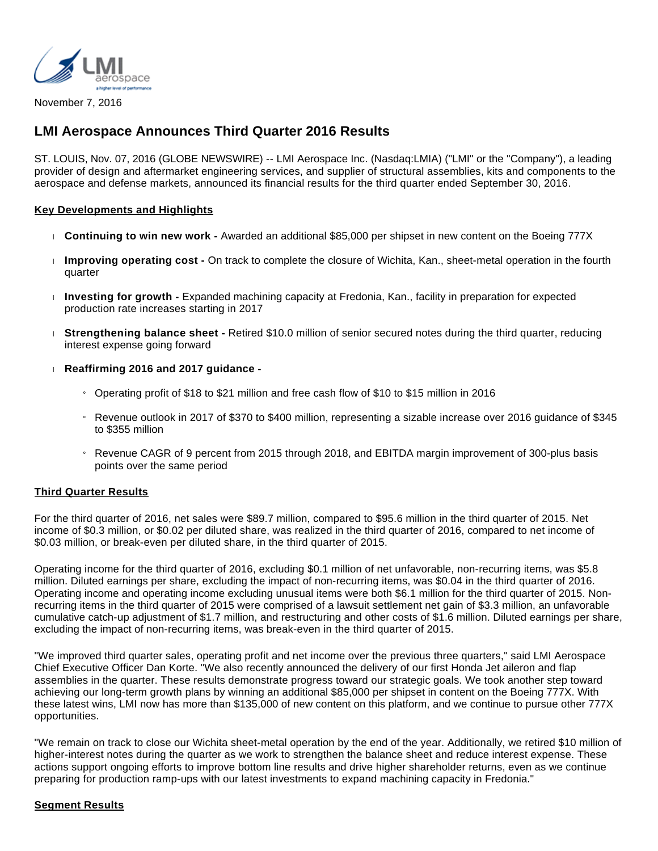

November 7, 2016

## **LMI Aerospace Announces Third Quarter 2016 Results**

ST. LOUIS, Nov. 07, 2016 (GLOBE NEWSWIRE) -- LMI Aerospace Inc. (Nasdaq:LMIA) ("LMI" or the "Company"), a leading provider of design and aftermarket engineering services, and supplier of structural assemblies, kits and components to the aerospace and defense markets, announced its financial results for the third quarter ended September 30, 2016.

#### **Key Developments and Highlights**

- **Continuing to win new work -** Awarded an additional \$85,000 per shipset in new content on the Boeing 777X
- **Improving operating cost -** On track to complete the closure of Wichita, Kan., sheet-metal operation in the fourth quarter
- **Investing for growth -** Expanded machining capacity at Fredonia, Kan., facility in preparation for expected production rate increases starting in 2017
- **Strengthening balance sheet -** Retired \$10.0 million of senior secured notes during the third quarter, reducing interest expense going forward
- **Reaffirming 2016 and 2017 guidance -**
	- » Operating profit of \$18 to \$21 million and free cash flow of \$10 to \$15 million in 2016
	- » Revenue outlook in 2017 of \$370 to \$400 million, representing a sizable increase over 2016 guidance of \$345 to \$355 million
	- » Revenue CAGR of 9 percent from 2015 through 2018, and EBITDA margin improvement of 300-plus basis points over the same period

#### **Third Quarter Results**

For the third quarter of 2016, net sales were \$89.7 million, compared to \$95.6 million in the third quarter of 2015. Net income of \$0.3 million, or \$0.02 per diluted share, was realized in the third quarter of 2016, compared to net income of \$0.03 million, or break-even per diluted share, in the third quarter of 2015.

Operating income for the third quarter of 2016, excluding \$0.1 million of net unfavorable, non-recurring items, was \$5.8 million. Diluted earnings per share, excluding the impact of non-recurring items, was \$0.04 in the third quarter of 2016. Operating income and operating income excluding unusual items were both \$6.1 million for the third quarter of 2015. Nonrecurring items in the third quarter of 2015 were comprised of a lawsuit settlement net gain of \$3.3 million, an unfavorable cumulative catch-up adjustment of \$1.7 million, and restructuring and other costs of \$1.6 million. Diluted earnings per share, excluding the impact of non-recurring items, was break-even in the third quarter of 2015.

"We improved third quarter sales, operating profit and net income over the previous three quarters," said LMI Aerospace Chief Executive Officer Dan Korte. "We also recently announced the delivery of our first Honda Jet aileron and flap assemblies in the quarter. These results demonstrate progress toward our strategic goals. We took another step toward achieving our long-term growth plans by winning an additional \$85,000 per shipset in content on the Boeing 777X. With these latest wins, LMI now has more than \$135,000 of new content on this platform, and we continue to pursue other 777X opportunities.

"We remain on track to close our Wichita sheet-metal operation by the end of the year. Additionally, we retired \$10 million of higher-interest notes during the quarter as we work to strengthen the balance sheet and reduce interest expense. These actions support ongoing efforts to improve bottom line results and drive higher shareholder returns, even as we continue preparing for production ramp-ups with our latest investments to expand machining capacity in Fredonia."

#### **Segment Results**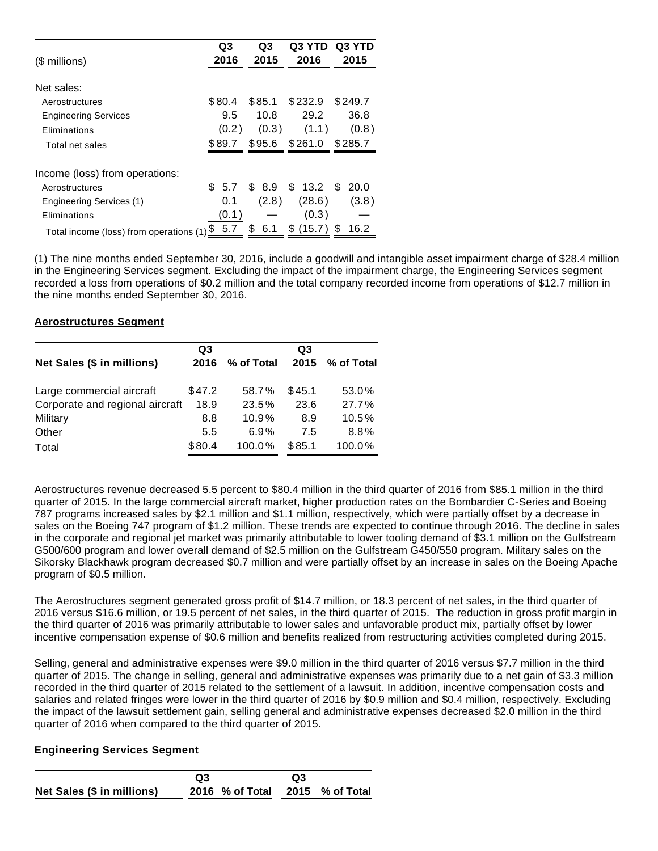|                                         | Q3     | Q3       | Q3 YTD       | Q3 YTD  |
|-----------------------------------------|--------|----------|--------------|---------|
| (\$ millions)                           | 2016   | 2015     | 2016         | 2015    |
| Net sales:                              |        |          |              |         |
| Aerostructures                          | \$80.4 | \$85.1   | \$232.9      | \$249.7 |
| <b>Engineering Services</b>             | 9.5    | 10.8     | 29.2         | 36.8    |
| Eliminations                            | (0.2)  | (0.3)    | (1.1)        | (0.8)   |
| Total net sales                         | \$89.7 | \$95.6   | \$261.0      | \$285.7 |
| Income (loss) from operations:          |        |          |              |         |
| Aerostructures                          | \$5.7  | \$ 8.9   | \$13.2       | \$ 20.0 |
| Engineering Services (1)                | 0.1    | (2.8)    | (28.6)       | (3.8)   |
| Eliminations                            | (0.1)  |          | (0.3)        |         |
| Total income (loss) from operations (1) | 5.7    | S<br>6.1 | \$<br>(15.7) | 16.2    |

(1) The nine months ended September 30, 2016, include a goodwill and intangible asset impairment charge of \$28.4 million in the Engineering Services segment. Excluding the impact of the impairment charge, the Engineering Services segment recorded a loss from operations of \$0.2 million and the total company recorded income from operations of \$12.7 million in the nine months ended September 30, 2016.

#### **Aerostructures Segment**

|                                 | Q3     |            | Q3     |            |
|---------------------------------|--------|------------|--------|------------|
| Net Sales (\$ in millions)      | 2016   | % of Total | 2015   | % of Total |
|                                 |        |            |        |            |
| Large commercial aircraft       | \$47.2 | 58.7%      | \$45.1 | 53.0%      |
| Corporate and regional aircraft | 18.9   | 23.5%      | 23.6   | 27.7%      |
| Military                        | 8.8    | 10.9%      | 8.9    | 10.5%      |
| Other                           | 5.5    | 6.9%       | 7.5    | 8.8%       |
| Total                           | \$80.4 | 100.0%     | \$85.1 | 100.0%     |

Aerostructures revenue decreased 5.5 percent to \$80.4 million in the third quarter of 2016 from \$85.1 million in the third quarter of 2015. In the large commercial aircraft market, higher production rates on the Bombardier C-Series and Boeing 787 programs increased sales by \$2.1 million and \$1.1 million, respectively, which were partially offset by a decrease in sales on the Boeing 747 program of \$1.2 million. These trends are expected to continue through 2016. The decline in sales in the corporate and regional jet market was primarily attributable to lower tooling demand of \$3.1 million on the Gulfstream G500/600 program and lower overall demand of \$2.5 million on the Gulfstream G450/550 program. Military sales on the Sikorsky Blackhawk program decreased \$0.7 million and were partially offset by an increase in sales on the Boeing Apache program of \$0.5 million.

The Aerostructures segment generated gross profit of \$14.7 million, or 18.3 percent of net sales, in the third quarter of 2016 versus \$16.6 million, or 19.5 percent of net sales, in the third quarter of 2015. The reduction in gross profit margin in the third quarter of 2016 was primarily attributable to lower sales and unfavorable product mix, partially offset by lower incentive compensation expense of \$0.6 million and benefits realized from restructuring activities completed during 2015.

Selling, general and administrative expenses were \$9.0 million in the third quarter of 2016 versus \$7.7 million in the third quarter of 2015. The change in selling, general and administrative expenses was primarily due to a net gain of \$3.3 million recorded in the third quarter of 2015 related to the settlement of a lawsuit. In addition, incentive compensation costs and salaries and related fringes were lower in the third quarter of 2016 by \$0.9 million and \$0.4 million, respectively. Excluding the impact of the lawsuit settlement gain, selling general and administrative expenses decreased \$2.0 million in the third quarter of 2016 when compared to the third quarter of 2015.

#### **Engineering Services Segment**

|                            | Q3 |                                 | Q3 |  |
|----------------------------|----|---------------------------------|----|--|
| Net Sales (\$ in millions) |    | 2016 % of Total 2015 % of Total |    |  |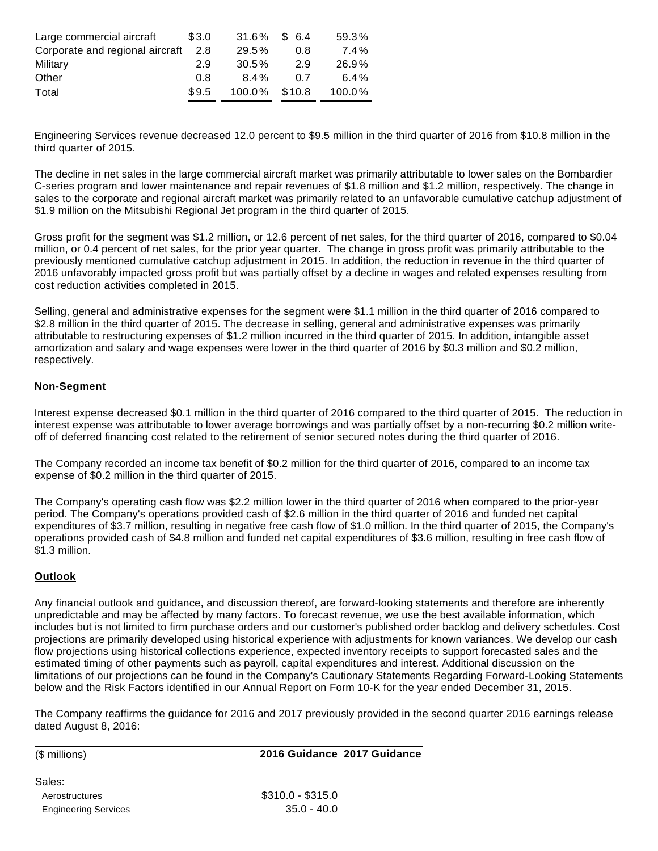| Large commercial aircraft       | \$3.0 | 31.6%    | \$ 6.4 | 59.3%   |
|---------------------------------|-------|----------|--------|---------|
| Corporate and regional aircraft | 2.8   | $29.5\%$ | 0.8    | $7.4\%$ |
| Military                        | 2.9   | $30.5\%$ | 2.9    | 26.9%   |
| Other                           | 0.8   | $8.4\%$  | 0.7    | 6.4%    |
| Total                           | \$9.5 | 100.0%   | \$10.8 | 100.0%  |

Engineering Services revenue decreased 12.0 percent to \$9.5 million in the third quarter of 2016 from \$10.8 million in the third quarter of 2015.

The decline in net sales in the large commercial aircraft market was primarily attributable to lower sales on the Bombardier C-series program and lower maintenance and repair revenues of \$1.8 million and \$1.2 million, respectively. The change in sales to the corporate and regional aircraft market was primarily related to an unfavorable cumulative catchup adjustment of \$1.9 million on the Mitsubishi Regional Jet program in the third quarter of 2015.

Gross profit for the segment was \$1.2 million, or 12.6 percent of net sales, for the third quarter of 2016, compared to \$0.04 million, or 0.4 percent of net sales, for the prior year quarter. The change in gross profit was primarily attributable to the previously mentioned cumulative catchup adjustment in 2015. In addition, the reduction in revenue in the third quarter of 2016 unfavorably impacted gross profit but was partially offset by a decline in wages and related expenses resulting from cost reduction activities completed in 2015.

Selling, general and administrative expenses for the segment were \$1.1 million in the third quarter of 2016 compared to \$2.8 million in the third quarter of 2015. The decrease in selling, general and administrative expenses was primarily attributable to restructuring expenses of \$1.2 million incurred in the third quarter of 2015. In addition, intangible asset amortization and salary and wage expenses were lower in the third quarter of 2016 by \$0.3 million and \$0.2 million, respectively.

#### **Non-Segment**

Interest expense decreased \$0.1 million in the third quarter of 2016 compared to the third quarter of 2015. The reduction in interest expense was attributable to lower average borrowings and was partially offset by a non-recurring \$0.2 million writeoff of deferred financing cost related to the retirement of senior secured notes during the third quarter of 2016.

The Company recorded an income tax benefit of \$0.2 million for the third quarter of 2016, compared to an income tax expense of \$0.2 million in the third quarter of 2015.

The Company's operating cash flow was \$2.2 million lower in the third quarter of 2016 when compared to the prior-year period. The Company's operations provided cash of \$2.6 million in the third quarter of 2016 and funded net capital expenditures of \$3.7 million, resulting in negative free cash flow of \$1.0 million. In the third quarter of 2015, the Company's operations provided cash of \$4.8 million and funded net capital expenditures of \$3.6 million, resulting in free cash flow of \$1.3 million.

#### **Outlook**

Any financial outlook and guidance, and discussion thereof, are forward-looking statements and therefore are inherently unpredictable and may be affected by many factors. To forecast revenue, we use the best available information, which includes but is not limited to firm purchase orders and our customer's published order backlog and delivery schedules. Cost projections are primarily developed using historical experience with adjustments for known variances. We develop our cash flow projections using historical collections experience, expected inventory receipts to support forecasted sales and the estimated timing of other payments such as payroll, capital expenditures and interest. Additional discussion on the limitations of our projections can be found in the Company's Cautionary Statements Regarding Forward-Looking Statements below and the Risk Factors identified in our Annual Report on Form 10-K for the year ended December 31, 2015.

The Company reaffirms the guidance for 2016 and 2017 previously provided in the second quarter 2016 earnings release dated August 8, 2016:

Sales:

#### (\$ millions) **2016 Guidance 2017 Guidance**

Aerostructures  $$310.0 - $315.0$ Engineering Services 35.0 - 40.0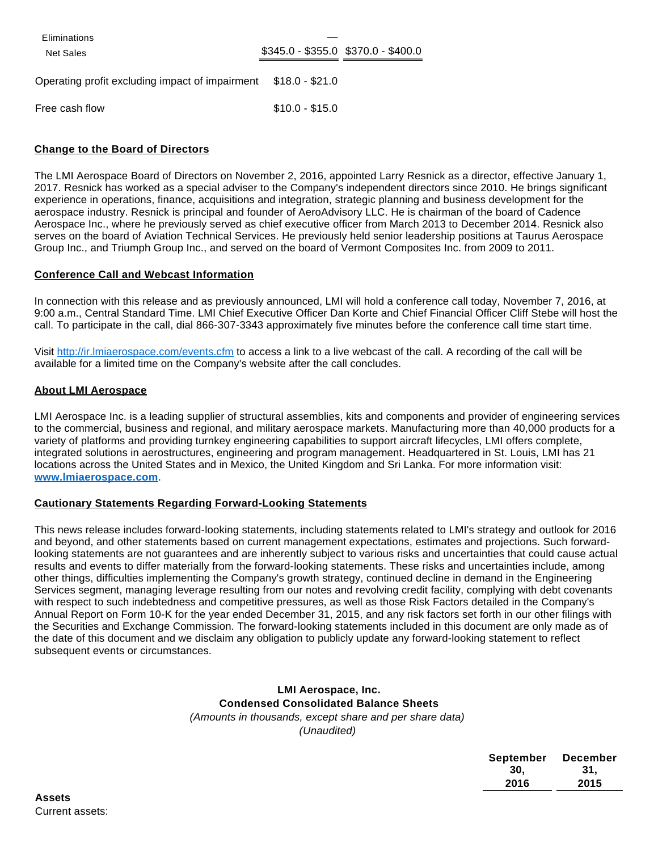**Eliminations** 

Net Sales **\$345.0** - \$345.0 - \$355.0 \$370.0 - \$400.0

Operating profit excluding impact of impairment \$18.0 - \$21.0

Free cash flow \$10.0 - \$15.0

#### **Change to the Board of Directors**

The LMI Aerospace Board of Directors on November 2, 2016, appointed Larry Resnick as a director, effective January 1, 2017. Resnick has worked as a special adviser to the Company's independent directors since 2010. He brings significant experience in operations, finance, acquisitions and integration, strategic planning and business development for the aerospace industry. Resnick is principal and founder of AeroAdvisory LLC. He is chairman of the board of Cadence Aerospace Inc., where he previously served as chief executive officer from March 2013 to December 2014. Resnick also serves on the board of Aviation Technical Services. He previously held senior leadership positions at Taurus Aerospace Group Inc., and Triumph Group Inc., and served on the board of Vermont Composites Inc. from 2009 to 2011.

#### **Conference Call and Webcast Information**

In connection with this release and as previously announced, LMI will hold a conference call today, November 7, 2016, at 9:00 a.m., Central Standard Time. LMI Chief Executive Officer Dan Korte and Chief Financial Officer Cliff Stebe will host the call. To participate in the call, dial 866-307-3343 approximately five minutes before the conference call time start time.

Visit [http://ir.lmiaerospace.com/events.cfm](https://www.globenewswire.com/Tracker?data=GbYXBq9d6kCHB3owsyZwEJTc1WBqpnqQi6KNU-V3nhyAOe1dOAl8Vsv9HSx2B9praa7-f4McGRlD8wwAMB-BfofDukOCh0C3vG3C9VQ5bDe1G6RGWcL7iWwnEpyOlTOkIJK_rxReeX-kQBskNMllqg==) to access a link to a live webcast of the call. A recording of the call will be available for a limited time on the Company's website after the call concludes.

#### **About LMI Aerospace**

LMI Aerospace Inc. is a leading supplier of structural assemblies, kits and components and provider of engineering services to the commercial, business and regional, and military aerospace markets. Manufacturing more than 40,000 products for a variety of platforms and providing turnkey engineering capabilities to support aircraft lifecycles, LMI offers complete, integrated solutions in aerostructures, engineering and program management. Headquartered in St. Louis, LMI has 21 locations across the United States and in Mexico, the United Kingdom and Sri Lanka. For more information visit: **[www.lmiaerospace.com](https://www.globenewswire.com/Tracker?data=PNBHLdCOAFQfIX64apWHH0kQxiy8sdFAAxTO72lWHRQXhH8xrNatfoUZTaC6uaU1oc8jMY5P7Bdku7aUV4438lRfi5nkzAydAeW2HDvcon4=)**.

#### **Cautionary Statements Regarding Forward-Looking Statements**

This news release includes forward-looking statements, including statements related to LMI's strategy and outlook for 2016 and beyond, and other statements based on current management expectations, estimates and projections. Such forwardlooking statements are not guarantees and are inherently subject to various risks and uncertainties that could cause actual results and events to differ materially from the forward-looking statements. These risks and uncertainties include, among other things, difficulties implementing the Company's growth strategy, continued decline in demand in the Engineering Services segment, managing leverage resulting from our notes and revolving credit facility, complying with debt covenants with respect to such indebtedness and competitive pressures, as well as those Risk Factors detailed in the Company's Annual Report on Form 10-K for the year ended December 31, 2015, and any risk factors set forth in our other filings with the Securities and Exchange Commission. The forward-looking statements included in this document are only made as of the date of this document and we disclaim any obligation to publicly update any forward-looking statement to reflect subsequent events or circumstances.

#### **LMI Aerospace, Inc. Condensed Consolidated Balance Sheets** (Amounts in thousands, except share and per share data) (Unaudited)

| September | <b>December</b> |
|-----------|-----------------|
| 30.       | 31.             |
| 2016      | 2015            |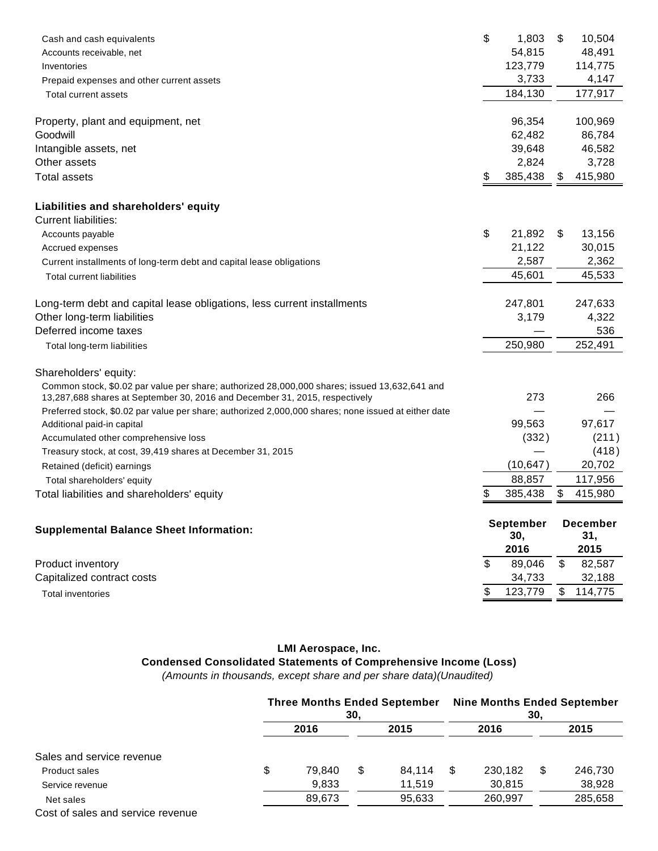| Cash and cash equivalents<br>Accounts receivable, net                                                                                                                        | \$<br>1,803<br>54,815   | \$                        | 10,504<br>48,491       |
|------------------------------------------------------------------------------------------------------------------------------------------------------------------------------|-------------------------|---------------------------|------------------------|
| Inventories                                                                                                                                                                  | 123,779                 |                           | 114,775                |
| Prepaid expenses and other current assets                                                                                                                                    | 3,733                   |                           | 4,147                  |
| Total current assets                                                                                                                                                         | 184,130                 |                           | 177,917                |
| Property, plant and equipment, net                                                                                                                                           | 96,354                  |                           | 100,969                |
| Goodwill                                                                                                                                                                     | 62,482                  |                           | 86,784                 |
| Intangible assets, net                                                                                                                                                       | 39,648                  |                           | 46,582                 |
| Other assets                                                                                                                                                                 | 2,824                   |                           | 3,728                  |
| <b>Total assets</b>                                                                                                                                                          | \$<br>385,438           | \$                        | 415,980                |
| Liabilities and shareholders' equity                                                                                                                                         |                         |                           |                        |
| <b>Current liabilities:</b>                                                                                                                                                  |                         |                           |                        |
| Accounts payable                                                                                                                                                             | \$<br>21,892            | \$                        | 13,156                 |
| Accrued expenses                                                                                                                                                             | 21,122                  |                           | 30,015                 |
| Current installments of long-term debt and capital lease obligations                                                                                                         | 2,587                   |                           | 2,362                  |
| <b>Total current liabilities</b>                                                                                                                                             | 45,601                  |                           | 45,533                 |
| Long-term debt and capital lease obligations, less current installments                                                                                                      | 247,801                 |                           | 247,633                |
| Other long-term liabilities                                                                                                                                                  | 3,179                   |                           | 4,322                  |
| Deferred income taxes                                                                                                                                                        |                         |                           | 536                    |
| Total long-term liabilities                                                                                                                                                  | 250,980                 |                           | 252,491                |
| Shareholders' equity:                                                                                                                                                        |                         |                           |                        |
| Common stock, \$0.02 par value per share; authorized 28,000,000 shares; issued 13,632,641 and<br>13,287,688 shares at September 30, 2016 and December 31, 2015, respectively | 273                     |                           | 266                    |
| Preferred stock, \$0.02 par value per share; authorized 2,000,000 shares; none issued at either date                                                                         | 99,563                  |                           | 97,617                 |
| Additional paid-in capital<br>Accumulated other comprehensive loss                                                                                                           | (332)                   |                           | (211)                  |
| Treasury stock, at cost, 39,419 shares at December 31, 2015                                                                                                                  |                         |                           | (418)                  |
|                                                                                                                                                                              | (10, 647)               |                           | 20,702                 |
| Retained (deficit) earnings                                                                                                                                                  | 88,857                  |                           | 117,956                |
| Total shareholders' equity<br>Total liabilities and shareholders' equity                                                                                                     | \$<br>385,438           | \$                        | 415,980                |
|                                                                                                                                                                              |                         |                           |                        |
| <b>Supplemental Balance Sheet Information:</b>                                                                                                                               | <b>September</b><br>30, |                           | <b>December</b><br>31, |
|                                                                                                                                                                              | 2016                    |                           | 2015                   |
| Product inventory                                                                                                                                                            | \$<br>89,046            | $\boldsymbol{\mathsf{S}}$ | 82,587                 |
| Capitalized contract costs                                                                                                                                                   | 34,733                  |                           | 32,188                 |
| <b>Total inventories</b>                                                                                                                                                     | \$<br>123,779           | \$                        | 114,775                |

# **LMI Aerospace, Inc.**

## **Condensed Consolidated Statements of Comprehensive Income (Loss)**

(Amounts in thousands, except share and per share data)(Unaudited)

|                                   | <b>Three Months Ended September</b> | 30, |        | <b>Nine Months Ended September</b><br>30. |         |      |         |
|-----------------------------------|-------------------------------------|-----|--------|-------------------------------------------|---------|------|---------|
|                                   | 2016<br>2015                        |     |        | 2016                                      |         | 2015 |         |
| Sales and service revenue         |                                     |     |        |                                           |         |      |         |
| Product sales                     | \$<br>79.840                        | S   | 84.114 | S                                         | 230.182 | S    | 246,730 |
| Service revenue                   | 9,833                               |     | 11.519 |                                           | 30,815  |      | 38,928  |
| Net sales                         | 89.673                              |     | 95,633 |                                           | 260.997 |      | 285,658 |
| Cost of sales and service revenue |                                     |     |        |                                           |         |      |         |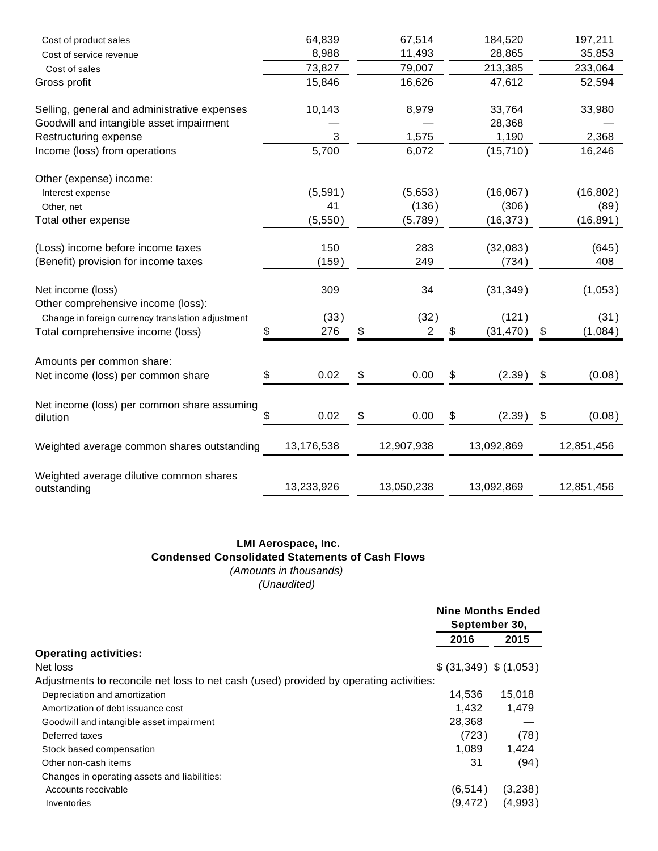| Cost of product sales                                  |    | 64,839     | 67,514               |    | 184,520    | 197,211       |
|--------------------------------------------------------|----|------------|----------------------|----|------------|---------------|
| Cost of service revenue                                |    | 8,988      | 11,493               |    | 28,865     | 35,853        |
| Cost of sales                                          |    | 73,827     | 79,007               |    | 213,385    | 233,064       |
| Gross profit                                           |    | 15,846     | 16,626               |    | 47,612     | 52,594        |
| Selling, general and administrative expenses           |    | 10,143     | 8,979                |    | 33,764     | 33,980        |
| Goodwill and intangible asset impairment               |    |            |                      |    | 28,368     |               |
| Restructuring expense                                  |    | 3          | 1,575                |    | 1,190      | 2,368         |
| Income (loss) from operations                          |    | 5,700      | 6,072                |    | (15, 710)  | 16,246        |
| Other (expense) income:                                |    |            |                      |    |            |               |
| Interest expense                                       |    | (5,591)    | (5,653)              |    | (16,067)   | (16, 802)     |
| Other, net                                             |    | 41         | (136)                |    | (306)      | (89)          |
| Total other expense                                    |    | (5,550)    | (5,789)              |    | (16, 373)  | (16, 891)     |
| (Loss) income before income taxes                      |    | 150        | 283                  |    | (32,083)   | (645)         |
| (Benefit) provision for income taxes                   |    | (159)      | 249                  |    | (734)      | 408           |
| Net income (loss)                                      |    | 309        | 34                   |    | (31, 349)  | (1,053)       |
| Other comprehensive income (loss):                     |    |            |                      |    |            |               |
| Change in foreign currency translation adjustment      |    | (33)       | (32)                 |    | (121)      | (31)          |
| Total comprehensive income (loss)                      | S  | 276        | \$<br>$\overline{2}$ | S  | (31, 470)  | \$<br>(1,084) |
| Amounts per common share:                              |    |            |                      |    |            |               |
| Net income (loss) per common share                     |    | 0.02       | \$<br>0.00           | \$ | (2.39)     | \$<br>(0.08)  |
| Net income (loss) per common share assuming            |    |            |                      |    |            |               |
| dilution                                               | \$ | 0.02       | \$<br>0.00           | \$ | (2.39)     | \$<br>(0.08)  |
| Weighted average common shares outstanding             |    | 13,176,538 | 12,907,938           |    | 13,092,869 | 12,851,456    |
|                                                        |    |            |                      |    |            |               |
| Weighted average dilutive common shares<br>outstanding |    | 13,233,926 | 13,050,238           |    | 13,092,869 | 12,851,456    |

### **LMI Aerospace, Inc. Condensed Consolidated Statements of Cash Flows** (Amounts in thousands) (Unaudited)

|                                                                                        | <b>Nine Months Ended</b><br>September 30, |         |
|----------------------------------------------------------------------------------------|-------------------------------------------|---------|
|                                                                                        | 2016                                      | 2015    |
| <b>Operating activities:</b>                                                           |                                           |         |
| Net loss                                                                               | \$ (31,349) \$ (1,053)                    |         |
| Adjustments to reconcile net loss to net cash (used) provided by operating activities: |                                           |         |
| Depreciation and amortization                                                          | 14.536                                    | 15.018  |
| Amortization of debt issuance cost                                                     | 1.432                                     | 1.479   |
| Goodwill and intangible asset impairment                                               | 28,368                                    |         |
| Deferred taxes                                                                         | (723)                                     | (78)    |
| Stock based compensation                                                               | 1.089                                     | 1,424   |
| Other non-cash items                                                                   | 31                                        | (94)    |
| Changes in operating assets and liabilities:                                           |                                           |         |
| Accounts receivable                                                                    | (6, 514)                                  | (3,238) |
| Inventories                                                                            | (9,472)                                   | (4.993) |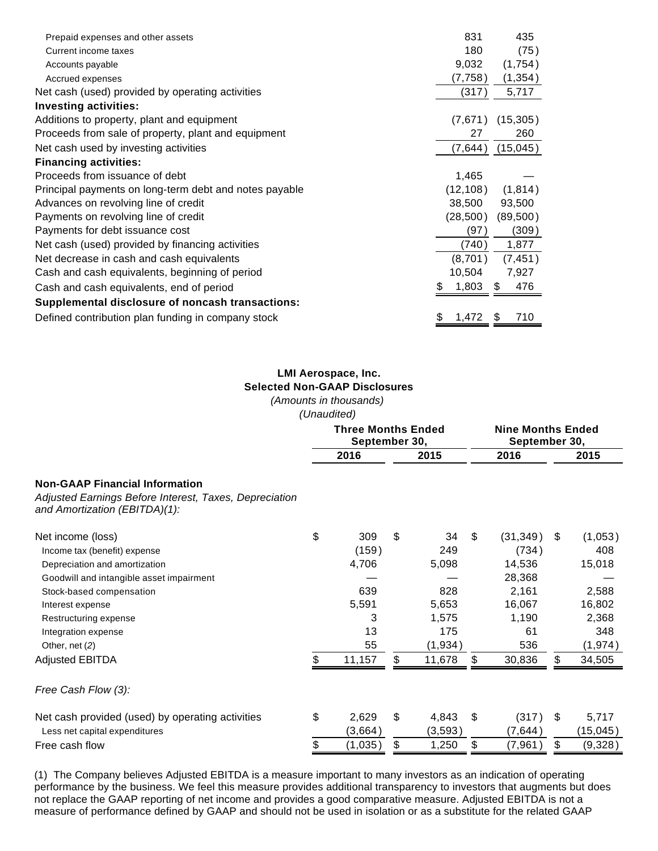| Prepaid expenses and other assets                      | 831         | 435       |
|--------------------------------------------------------|-------------|-----------|
| Current income taxes                                   | 180         | (75)      |
| Accounts payable                                       | 9,032       | (1,754)   |
| Accrued expenses                                       | (7,758)     | (1, 354)  |
| Net cash (used) provided by operating activities       | (317)       | 5,717     |
| <b>Investing activities:</b>                           |             |           |
| Additions to property, plant and equipment             | (7,671)     | (15, 305) |
| Proceeds from sale of property, plant and equipment    | 27          | 260       |
| Net cash used by investing activities                  | (7,644)     | (15,045)  |
| <b>Financing activities:</b>                           |             |           |
| Proceeds from issuance of debt                         | 1,465       |           |
| Principal payments on long-term debt and notes payable | (12, 108)   | (1,814)   |
| Advances on revolving line of credit                   | 38,500      | 93,500    |
| Payments on revolving line of credit                   | (28,500)    | (89,500)  |
| Payments for debt issuance cost                        | (97)        | (309)     |
| Net cash (used) provided by financing activities       | (740)       | 1,877     |
| Net decrease in cash and cash equivalents              | (8,701)     | (7, 451)  |
| Cash and cash equivalents, beginning of period         | 10,504      | 7,927     |
| Cash and cash equivalents, end of period               | 1,803       | 476<br>S  |
| Supplemental disclosure of noncash transactions:       |             |           |
| Defined contribution plan funding in company stock     | 1,472<br>\$ | 710<br>S  |

#### **LMI Aerospace, Inc. Selected Non-GAAP Disclosures**

(Amounts in thousands)

(Unaudited)

|                                                                                                                                                                                |                                            | undudituu,                            |    |                                    |    |                                                           |    |                                             |  |
|--------------------------------------------------------------------------------------------------------------------------------------------------------------------------------|--------------------------------------------|---------------------------------------|----|------------------------------------|----|-----------------------------------------------------------|----|---------------------------------------------|--|
|                                                                                                                                                                                | <b>Three Months Ended</b><br>September 30, |                                       |    |                                    |    | <b>Nine Months Ended</b><br>September 30,                 |    |                                             |  |
| <b>Non-GAAP Financial Information</b><br>Adjusted Earnings Before Interest, Taxes, Depreciation<br>and Amortization (EBITDA)(1):                                               |                                            | 2016                                  |    | 2015                               |    | 2016                                                      |    | 2015                                        |  |
|                                                                                                                                                                                |                                            |                                       |    |                                    |    |                                                           |    |                                             |  |
| Net income (loss)<br>Income tax (benefit) expense<br>Depreciation and amortization<br>Goodwill and intangible asset impairment<br>Stock-based compensation<br>Interest expense | \$                                         | 309<br>(159)<br>4,706<br>639<br>5,591 | \$ | 34<br>249<br>5,098<br>828<br>5,653 | -S | (31, 349)<br>(734)<br>14,536<br>28,368<br>2,161<br>16,067 | \$ | (1,053)<br>408<br>15,018<br>2,588<br>16,802 |  |
| Restructuring expense<br>Integration expense<br>Other, net (2)<br><b>Adjusted EBITDA</b>                                                                                       | S                                          | 3<br>13<br>55<br>11,157               | \$ | 1,575<br>175<br>(1,934)<br>11,678  | \$ | 1,190<br>61<br>536<br>30,836                              | \$ | 2,368<br>348<br>(1, 974)<br>34,505          |  |
| Free Cash Flow (3):                                                                                                                                                            |                                            |                                       |    |                                    |    |                                                           |    |                                             |  |
| Net cash provided (used) by operating activities<br>Less net capital expenditures                                                                                              | \$                                         | 2,629<br>(3,664)                      | \$ | 4,843<br>(3,593)                   | \$ | (317)<br>(7,644)                                          | \$ | 5,717<br>(15, 045)                          |  |
| Free cash flow                                                                                                                                                                 |                                            | (1,035)                               | \$ | 1,250                              | \$ | (7, 961)                                                  | \$ | (9,328)                                     |  |

(1) The Company believes Adjusted EBITDA is a measure important to many investors as an indication of operating performance by the business. We feel this measure provides additional transparency to investors that augments but does not replace the GAAP reporting of net income and provides a good comparative measure. Adjusted EBITDA is not a measure of performance defined by GAAP and should not be used in isolation or as a substitute for the related GAAP